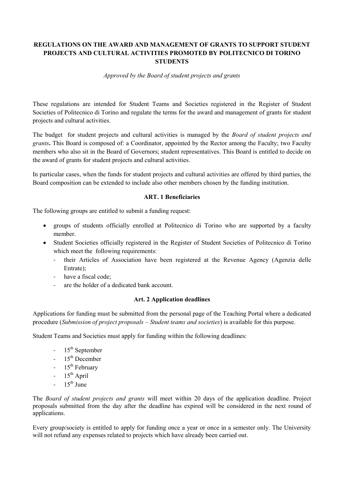# **REGULATIONS ON THE AWARD AND MANAGEMENT OF GRANTS TO SUPPORT STUDENT PROJECTS AND CULTURAL ACTIVITIES PROMOTED BY POLITECNICO DI TORINO STUDENTS**

*Approved by the Board of student projects and grants*

These regulations are intended for Student Teams and Societies registered in the Register of Student Societies of Politecnico di Torino and regulate the terms for the award and management of grants for student projects and cultural activities.

The budget for student projects and cultural activities is managed by the *Board of student projects and grants***.** This Board is composed of: a Coordinator, appointed by the Rector among the Faculty; two Faculty members who also sit in the Board of Governors; student representatives. This Board is entitled to decide on the award of grants for student projects and cultural activities.

In particular cases, when the funds for student projects and cultural activities are offered by third parties, the Board composition can be extended to include also other members chosen by the funding institution.

## **ART. 1 Beneficiaries**

The following groups are entitled to submit a funding request:

- groups of students officially enrolled at Politecnico di Torino who are supported by a faculty member.
- Student Societies officially registered in the Register of Student Societies of Politecnico di Torino which meet the following requirements:
	- their Articles of Association have been registered at the Revenue Agency (Agenzia delle Entrate);
	- have a fiscal code;
	- are the holder of a dedicated bank account.

## **Art. 2 Application deadlines**

Applications for funding must be submitted from the personal page of the Teaching Portal where a dedicated procedure (*Submission of project proposals – Student teams and societies*) is available for this purpose.

Student Teams and Societies must apply for funding within the following deadlines:

- $-15^{th}$  September
- $-15<sup>th</sup>$  December
- $15<sup>th</sup>$  February
- $-15^{th}$  April
- $-15^{th}$  June

The *Board of student projects and grants* will meet within 20 days of the application deadline. Project proposals submitted from the day after the deadline has expired will be considered in the next round of applications.

Every group/society is entitled to apply for funding once a year or once in a semester only. The University will not refund any expenses related to projects which have already been carried out.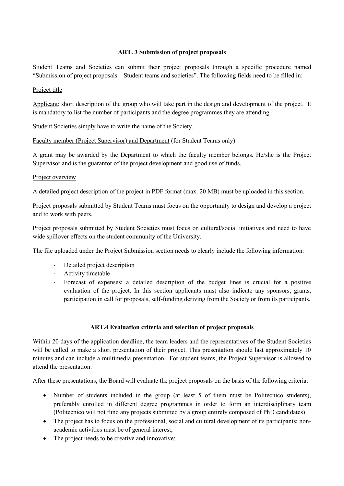## **ART. 3 Submission of project proposals**

Student Teams and Societies can submit their project proposals through a specific procedure named "Submission of project proposals – Student teams and societies". The following fields need to be filled in:

### Project title

Applicant: short description of the group who will take part in the design and development of the project. It is mandatory to list the number of participants and the degree programmes they are attending.

Student Societies simply have to write the name of the Society.

Faculty member (Project Supervisor) and Department (for Student Teams only)

A grant may be awarded by the Department to which the faculty member belongs. He/she is the Project Supervisor and is the guarantor of the project development and good use of funds.

#### Project overview

A detailed project description of the project in PDF format (max. 20 MB) must be uploaded in this section.

Project proposals submitted by Student Teams must focus on the opportunity to design and develop a project and to work with peers.

Project proposals submitted by Student Societies must focus on cultural/social initiatives and need to have wide spillover effects on the student community of the University.

The file uploaded under the Project Submission section needs to clearly include the following information:

- Detailed project description
- Activity timetable
- Forecast of expenses: a detailed description of the budget lines is crucial for a positive evaluation of the project. In this section applicants must also indicate any sponsors, grants, participation in call for proposals, self-funding deriving from the Society or from its participants.

## **ART.4 Evaluation criteria and selection of project proposals**

Within 20 days of the application deadline, the team leaders and the representatives of the Student Societies will be called to make a short presentation of their project. This presentation should last approximately 10 minutes and can include a multimedia presentation. For student teams, the Project Supervisor is allowed to attend the presentation.

After these presentations, the Board will evaluate the project proposals on the basis of the following criteria:

- Number of students included in the group (at least 5 of them must be Politecnico students), preferably enrolled in different degree programmes in order to form an interdisciplinary team (Politecnico will not fund any projects submitted by a group entirely composed of PhD candidates)
- The project has to focus on the professional, social and cultural development of its participants; nonacademic activities must be of general interest;
- The project needs to be creative and innovative;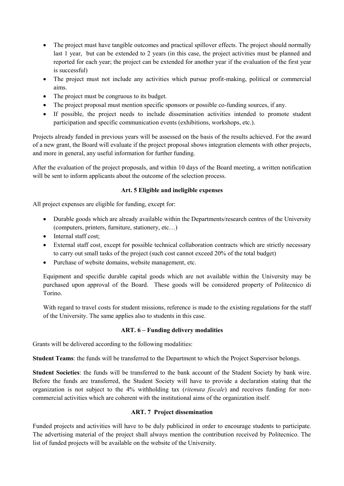- The project must have tangible outcomes and practical spillover effects. The project should normally last 1 year, but can be extended to 2 years (in this case, the project activities must be planned and reported for each year; the project can be extended for another year if the evaluation of the first year is successful)
- The project must not include any activities which pursue profit-making, political or commercial aims.
- The project must be congruous to its budget.
- The project proposal must mention specific sponsors or possible co-funding sources, if any.
- If possible, the project needs to include dissemination activities intended to promote student participation and specific communication events (exhibitions, workshops, etc.).

Projects already funded in previous years will be assessed on the basis of the results achieved. For the award of a new grant, the Board will evaluate if the project proposal shows integration elements with other projects, and more in general, any useful information for further funding.

After the evaluation of the project proposals, and within 10 days of the Board meeting, a written notification will be sent to inform applicants about the outcome of the selection process.

#### **Art. 5 Eligible and ineligible expenses**

All project expenses are eligible for funding, except for:

- Durable goods which are already available within the Departments/research centres of the University (computers, printers, furniture, stationery, etc…)
- Internal staff cost;
- External staff cost, except for possible technical collaboration contracts which are strictly necessary to carry out small tasks of the project (such cost cannot exceed 20% of the total budget)
- Purchase of website domains, website management, etc.

Equipment and specific durable capital goods which are not available within the University may be purchased upon approval of the Board. These goods will be considered property of Politecnico di Torino.

With regard to travel costs for student missions, reference is made to the existing regulations for the staff of the University. The same applies also to students in this case.

#### **ART. 6 – Funding delivery modalities**

Grants will be delivered according to the following modalities:

**Student Teams**: the funds will be transferred to the Department to which the Project Supervisor belongs.

**Student Societies**: the funds will be transferred to the bank account of the Student Society by bank wire. Before the funds are transferred, the Student Society will have to provide a declaration stating that the organization is not subject to the 4% withholding tax (*ritenuta fiscale*) and receives funding for noncommercial activities which are coherent with the institutional aims of the organization itself.

## **ART. 7 Project dissemination**

Funded projects and activities will have to be duly publicized in order to encourage students to participate. The advertising material of the project shall always mention the contribution received by Politecnico. The list of funded projects will be available on the website of the University.